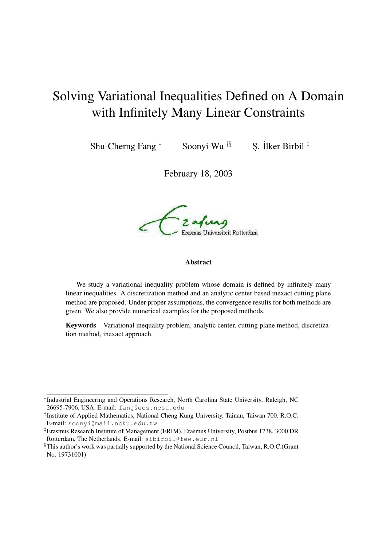# Solving Variational Inequalities Defined on A Domain with Infinitely Many Linear Constraints

Shu-Cherng Fang \*

Soonyi Wu  $\frac{1}{3}$ 

S. İlker Birbil  $\ddagger$ 

February 18, 2003

Erasmus Universiteit Rotterdam

#### **Abstract**

We study a variational inequality problem whose domain is defined by infinitely many linear inequalities. A discretization method and an analytic center based inexact cutting plane method are proposed. Under proper assumptions, the convergence results for both methods are given. We also provide numerical examples for the proposed methods.

**Keywords** Variational inequality problem, analytic center, cutting plane method, discretization method, inexact approach.

<sup>∗</sup> Industrial Engineering and Operations Research, North Carolina State University, Raleigh, NC 26695-7906, USA. E-mail: fang@eos.ncsu.edu

<sup>†</sup> Institute of Applied Mathematics, National Cheng Kung University, Tainan, Taiwan 700, R.O.C. E-mail: soonyi@mail.ncku.edu.tw

<sup>‡</sup>Erasmus Research Institute of Management (ERIM), Erasmus University, Postbus 1738, 3000 DR Rotterdam, The Netherlands. E-mail: sibirbil@few.eur.nl

<sup>§</sup>This author's work was partially supported by the National Science Council, Taiwan, R.O.C.(Grant No. 19731001)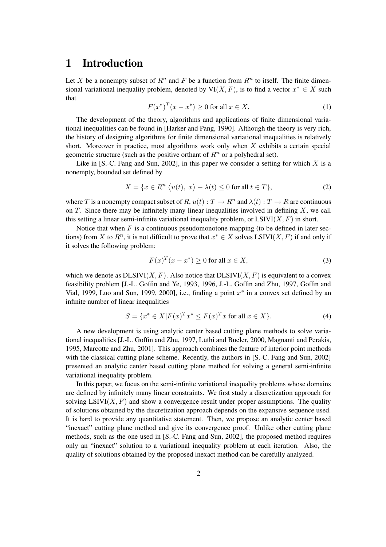#### **1 Introduction**

Let X be a nonempty subset of  $R^n$  and F be a function from  $R^n$  to itself. The finite dimensional variational inequality problem, denoted by  $VI(X, F)$ , is to find a vector  $x^* \in X$  such that

$$
F(x^*)^T(x - x^*) \ge 0 \text{ for all } x \in X. \tag{1}
$$

The development of the theory, algorithms and applications of finite dimensional variational inequalities can be found in [Harker and Pang, 1990]. Although the theory is very rich, the history of designing algorithms for finite dimensional variational inequalities is relatively short. Moreover in practice, most algorithms work only when  $X$  exhibits a certain special geometric structure (such as the positive orthant of  $R<sup>n</sup>$  or a polyhedral set).

Like in [S.-C. Fang and Sun, 2002], in this paper we consider a setting for which  $X$  is a nonempty, bounded set defined by

$$
X = \{x \in R^n | \langle u(t), x \rangle - \lambda(t) \le 0 \text{ for all } t \in T \},\tag{2}
$$

where T is a nonempty compact subset of R,  $u(t): T \to R^n$  and  $\lambda(t): T \to R$  are continuous on  $T$ . Since there may be infinitely many linear inequalities involved in defining  $X$ , we call this setting a linear semi-infinite variational inequality problem, or  $LSIVI(X, F)$  in short.

Notice that when  $F$  is a continuous pseudomonotone mapping (to be defined in later sections) from X to  $R^n$ , it is not difficult to prove that  $x^* \in X$  solves LSIVI(X, F) if and only if it solves the following problem:

$$
F(x)^{T}(x - x^{*}) \ge 0 \text{ for all } x \in X,
$$
\n(3)

which we denote as  $DLSIVI(X, F)$ . Also notice that  $DLSIVI(X, F)$  is equivalent to a convex feasibility problem [J.-L. Goffin and Ye, 1993, 1996, J.-L. Goffin and Zhu, 1997, Goffin and Vial, 1999, Luo and Sun, 1999, 2000], i.e., finding a point  $x^*$  in a convex set defined by an infinite number of linear inequalities

$$
S = \{x^* \in X | F(x)^T x^* \le F(x)^T x \text{ for all } x \in X\}.
$$
 (4)

A new development is using analytic center based cutting plane methods to solve variational inequalities [J.-L. Goffin and Zhu, 1997, Lüthi and Bueler, 2000, Magnanti and Perakis, 1995, Marcotte and Zhu, 2001]. This approach combines the feature of interior point methods with the classical cutting plane scheme. Recently, the authors in [S.-C. Fang and Sun, 2002] presented an analytic center based cutting plane method for solving a general semi-infinite variational inequality problem.

In this paper, we focus on the semi-infinite variational inequality problems whose domains are defined by infinitely many linear constraints. We first study a discretization approach for solving  $LSIVI(X, F)$  and show a convergence result under proper assumptions. The quality of solutions obtained by the discretization approach depends on the expansive sequence used. It is hard to provide any quantitative statement. Then, we propose an analytic center based "inexact" cutting plane method and give its convergence proof. Unlike other cutting plane methods, such as the one used in [S.-C. Fang and Sun, 2002], the proposed method requires only an "inexact" solution to a variational inequality problem at each iteration. Also, the quality of solutions obtained by the proposed inexact method can be carefully analyzed.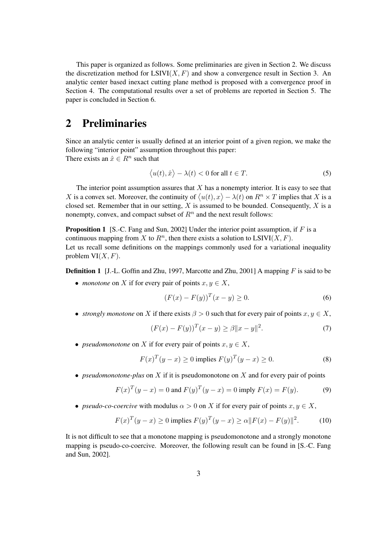This paper is organized as follows. Some preliminaries are given in Section 2. We discuss the discretization method for  $LSIVI(X, F)$  and show a convergence result in Section 3. An analytic center based inexact cutting plane method is proposed with a convergence proof in Section 4. The computational results over a set of problems are reported in Section 5. The paper is concluded in Section 6.

#### **2 Preliminaries**

Since an analytic center is usually defined at an interior point of a given region, we make the following "interior point" assumption throughout this paper: There exists an  $\hat{x} \in R^n$  such that

$$
\langle u(t), \hat{x} \rangle - \lambda(t) < 0 \text{ for all } t \in T. \tag{5}
$$

The interior point assumption assures that  $X$  has a nonempty interior. It is easy to see that X is a convex set. Moreover, the continuity of  $\langle u(t), x \rangle - \lambda(t)$  on  $R^n \times T$  implies that X is a closed set. Remember that in our setting, X is assumed to be bounded. Consequently, X is a nonempty, convex, and compact subset of  $R<sup>n</sup>$  and the next result follows:

**Proposition 1** [S.-C. Fang and Sun, 2002] Under the interior point assumption, if F is a continuous mapping from X to  $R<sup>n</sup>$ , then there exists a solution to LSIVI(X, F). Let us recall some definitions on the mappings commonly used for a variational inequality problem  $VI(X, F)$ .

**Definition 1** [J.-L. Goffin and Zhu, 1997, Marcotte and Zhu, 2001] A mapping F is said to be

• *monotone* on X if for every pair of points  $x, y \in X$ ,

$$
(F(x) - F(y))^T (x - y) \ge 0.
$$
 (6)

• *strongly monotone* on X if there exists  $\beta > 0$  such that for every pair of points  $x, y \in X$ ,

$$
(F(x) - F(y))^{T} (x - y) \ge \beta ||x - y||^{2}.
$$
 (7)

• *pseudomonotone* on X if for every pair of points  $x, y \in X$ ,

$$
F(x)^{T}(y-x) \ge 0 \text{ implies } F(y)^{T}(y-x) \ge 0. \tag{8}
$$

• *pseudomonotone-plus* on X if it is pseudomonotone on X and for every pair of points

$$
F(x)^{T}(y-x) = 0 \text{ and } F(y)^{T}(y-x) = 0 \text{ imply } F(x) = F(y). \tag{9}
$$

• *pseudo-co-coercive* with modulus  $\alpha > 0$  on X if for every pair of points  $x, y \in X$ ,

$$
F(x)^{T}(y-x) \ge 0 \text{ implies } F(y)^{T}(y-x) \ge \alpha \|F(x) - F(y)\|^{2}.
$$
 (10)

It is not difficult to see that a monotone mapping is pseudomonotone and a strongly monotone mapping is pseudo-co-coercive. Moreover, the following result can be found in [S.-C. Fang and Sun, 2002].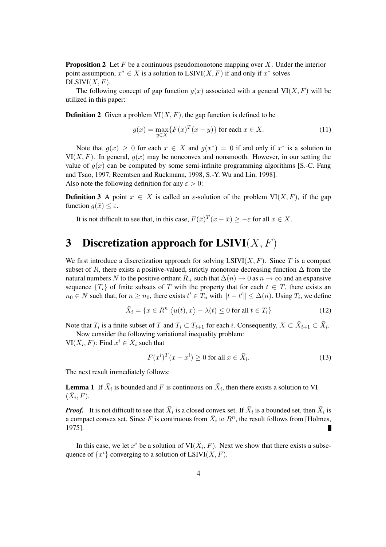**Proposition 2** Let  $F$  be a continuous pseudomonotone mapping over  $X$ . Under the interior point assumption,  $x^* \in X$  is a solution to  $LSIVI(X, F)$  if and only if  $x^*$  solves  $DLSIVI(X, F).$ 

The following concept of gap function  $g(x)$  associated with a general  $VI(X, F)$  will be utilized in this paper:

**Definition 2** Given a problem  $VI(X, F)$ , the gap function is defined to be

$$
g(x) = \max_{y \in X} \{ F(x)^T (x - y) \} \text{ for each } x \in X.
$$
 (11)

Note that  $g(x) \ge 0$  for each  $x \in X$  and  $g(x^*) = 0$  if and only if  $x^*$  is a solution to  $VI(X, F)$ . In general,  $g(x)$  may be nonconvex and nonsmooth. However, in our setting the value of  $g(x)$  can be computed by some semi-infinite programming algorithms [S.-C. Fang and Tsao, 1997, Reemtsen and Ruckmann, 1998, S.-Y. Wu and Lin, 1998]. Also note the following definition for any  $\varepsilon > 0$ :

**Definition** 3 A point  $\bar{x} \in X$  is called an  $\varepsilon$ -solution of the problem VI(X, F), if the gap function  $q(\bar{x}) < \varepsilon$ .

It is not difficult to see that, in this case,  $F(\bar{x})^T(x-\bar{x}) \geq -\varepsilon$  for all  $x \in X$ .

#### **3 Discretization approach for LSIVI**(X, F)

We first introduce a discretization approach for solving  $LSIVI(X, F)$ . Since T is a compact subset of R, there exists a positive-valued, strictly monotone decreasing function  $\Delta$  from the natural numbers N to the positive orthant  $R_+$  such that  $\Delta(n) \to 0$  as  $n \to \infty$  and an expansive sequence  ${T_i}$  of finite subsets of T with the property that for each  $t \in T$ , there exists an  $n_0 \in N$  such that, for  $n \ge n_0$ , there exists  $t' \in T_n$  with  $||t - t'|| \le \Delta(n)$ . Using  $T_i$ , we define

$$
\bar{X}_i = \{x \in R^n | \langle u(t), x \rangle - \lambda(t) \le 0 \text{ for all } t \in T_i \}
$$
\n(12)

Note that  $T_i$  is a finite subset of T and  $T_i \subset T_{i+1}$  for each i. Consequently,  $X \subset \overline{X}_{i+1} \subset \overline{X}_i$ .

Now consider the following variational inequality problem:

VI( $\bar{X}_i$ , F): Find  $x^i \in \bar{X}_i$  such that

$$
F(x^i)^T (x - x^i) \ge 0 \text{ for all } x \in \bar{X}_i.
$$
 (13)

The next result immediately follows:

**Lemma** 1 If  $\bar{X}_i$  is bounded and F is continuous on  $\bar{X}_i$ , then there exists a solution to VI  $(\bar{X}_i, F)$ .

*Proof.* It is not difficult to see that  $\bar{X}_i$  is a closed convex set. If  $\bar{X}_i$  is a bounded set, then  $\bar{X}_i$  is a compact convex set. Since F is continuous from  $\bar{X}_i$  to  $R^n$ , the result follows from [Holmes, 1975].

In this case, we let  $x^i$  be a solution of  $VI(\bar{X}_i, F)$ . Next we show that there exists a subsequence of  $\{x^i\}$  converging to a solution of LSIVI(X, F).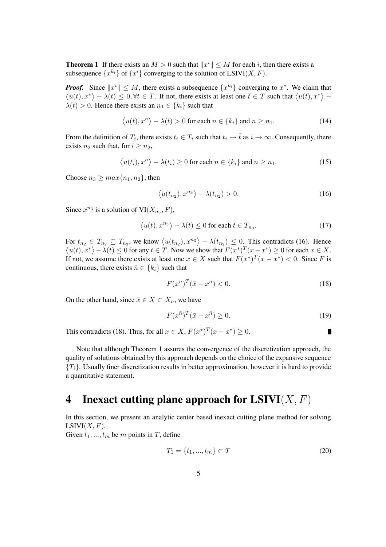**Theorem 1** If there exists an  $M > 0$  such that  $||x^i|| \leq M$  for each i, then there exists a subsequence  $\{x^{k_i}\}$  of  $\{x^i\}$  converging to the solution of LSIVI(X, F).

*Proof.* Since  $||x^i|| \leq M$ , there exists a subsequence  $\{x^{k_i}\}\$ converging to  $x^*$ . We claim that  $\langle u(t), x^* \rangle - \lambda(t) \leq 0, \forall t \in T$ . If not, there exists at least one  $\overline{t} \in T$  such that  $\langle u(\overline{t}), x^* \rangle \lambda(\bar{t}) > 0$ . Hence there exists an  $n_1 \in \{k_i\}$  such that

$$
\langle u(\bar{t}), x^n \rangle - \lambda(\bar{t}) > 0 \text{ for each } n \in \{k_i\} \text{ and } n \ge n_1. \tag{14}
$$

From the definition of  $T_i$ , there exists  $t_i \in T_i$  such that  $t_i \to \overline{t}$  as  $i \to \infty$ . Consequently, there exists  $n_2$  such that, for  $i > n_2$ ,

$$
\langle u(t_i), x^n \rangle - \lambda(t_i) \ge 0 \text{ for each } n \in \{k_i\} \text{ and } n \ge n_1. \tag{15}
$$

Choose  $n_3 \geq max\{n_1, n_2\}$ , then

$$
\langle u(t_{n_2}), x^{n_3} \rangle - \lambda(t_{n_2}) > 0. \tag{16}
$$

Since  $x^{n_3}$  is a solution of  $VI(\bar{X}_{n_3}, F)$ ,

$$
\langle u(t), x^{n_3} \rangle - \lambda(t) \le 0 \text{ for each } t \in T_{n_3}.
$$
 (17)

For  $t_{n_2} \in T_{n_2} \subseteq T_{n_3}$ , we know  $\langle u(t_{n_2}), x^{n_3} \rangle - \lambda(t_{n_2}) \leq 0$ . This contradicts (16). Hence  $\langle u(t), x^* \rangle - \lambda(t) \leq 0$  for any  $t \in T$ . Now we show that  $F(x^*)^T (x - x^*) \geq 0$  for each  $x \in X$ . If not, we assume there exists at least one  $\bar{x} \in X$  such that  $F(x^*)^T(\bar{x} - x^*) < 0$ . Since F is continuous, there exists  $\bar{n} \in \{k_i\}$  such that

$$
F(x^{\bar{n}})^T(\bar{x} - x^{\bar{n}}) < 0. \tag{18}
$$

On the other hand, since  $\bar{x} \in X \subset \bar{X}_{\bar{n}}$ , we have

$$
F(x^{\bar{n}})^T(\bar{x} - x^{\bar{n}}) \ge 0.
$$
\n<sup>(19)</sup>

П

This contradicts (18). Thus, for all  $x \in X$ ,  $F(x^*)^T(x - x^*) \ge 0$ .

Note that although Theorem 1 assures the convergence of the discretization approach, the quality of solutions obtained by this approach depends on the choice of the expansive sequence  ${T_i}$ . Usually finer discretization results in better approximation, however it is hard to provide a quantitative statement.

## **4 Inexact cutting plane approach for**  $LSIVI(X, F)$

In this section, we present an analytic center based inexact cutting plane method for solving  $LSIVI(X, F).$ 

Given  $t_1, ..., t_m$  be m points in T, define

$$
T_1 = \{t_1, ..., t_m\} \subset T
$$
\n(20)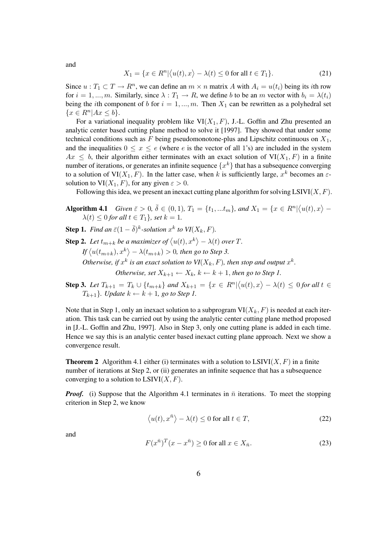and

$$
X_1 = \{x \in R^n | \langle u(t), x \rangle - \lambda(t) \le 0 \text{ for all } t \in T_1\}.
$$
 (21)

Since  $u: T_1 \subset T \to R^n$ , we can define an  $m \times n$  matrix A with  $A_i = u(t_i)$  being its *i*th row for  $i = 1, ..., m$ . Similarly, since  $\lambda : T_1 \to R$ , we define b to be an m vector with  $b_i = \lambda(t_i)$ being the *i*th component of b for  $i = 1, ..., m$ . Then  $X_1$  can be rewritten as a polyhedral set  $\{x \in R^n | Ax \leq b\}.$ 

For a variational inequality problem like  $VI(X_1, F)$ , J.-L. Goffin and Zhu presented an analytic center based cutting plane method to solve it [1997]. They showed that under some technical conditions such as F being pseudomonotone-plus and Lipschitz continuous on  $X_1$ , and the inequalities  $0 \le x \le e$  (where e is the vector of all 1's) are included in the system  $Ax \leq b$ , their algorithm either terminates with an exact solution of  $VI(X_1, F)$  in a finite number of iterations, or generates an infinite sequence  $\{x^k\}$  that has a subsequence converging to a solution of VI $(X_1, F)$ . In the latter case, when k is sufficiently large,  $x^k$  becomes an  $\varepsilon$ solution to  $VI(X_1, F)$ , for any given  $\varepsilon > 0$ .

Following this idea, we present an inexact cutting plane algorithm for solving  $LSIVI(X, F)$ .

- **Algorithm 4.1** *Given*  $\bar{\varepsilon} > 0$ ,  $\bar{\delta} \in (0, 1)$ ,  $T_1 = \{t_1, ... t_m\}$ , and  $X_1 = \{x \in R^n | \langle u(t), x \rangle \lambda(t) \leq 0$  for all  $t \in T_1$ *, set*  $k = 1$ .
- **Step 1.** *Find an*  $\bar{\varepsilon}(1-\bar{\delta})^k$ -solution  $x^k$  to  $VI(X_k, F)$ .
- **Step 2.** Let  $t_{m+k}$  be a maximizer of  $\langle u(t), x^k \rangle \lambda(t)$  over T.

 $\int f\left\langle u(t_{m+k}), x^k \right\rangle - \lambda(t_{m+k}) > 0$ , then go to Step 3.

*Otherwise, if*  $x^k$  *is an exact solution to*  $VI(X_k, F)$ *, then stop and output*  $x^k$ *.* 

*Otherwise, set*  $X_{k+1} \leftarrow X_k$ ,  $k \leftarrow k+1$ , *then go to Step 1.* 

**Step 3.** Let  $T_{k+1} = T_k \cup \{t_{m+k}\}\$  and  $X_{k+1} = \{x \in R^n | \langle u(t), x \rangle - \lambda(t) \leq 0 \text{ for all } t \in \mathbb{R} \}$  $T_{k+1}$ *). Update*  $k \leftarrow k+1$ *, go to Step 1.* 

Note that in Step 1, only an inexact solution to a subprogram  $VI(X_k, F)$  is needed at each iteration. This task can be carried out by using the analytic center cutting plane method proposed in [J.-L. Goffin and Zhu, 1997]. Also in Step 3, only one cutting plane is added in each time. Hence we say this is an analytic center based inexact cutting plane approach. Next we show a convergence result.

**Theorem 2** Algorithm 4.1 either (i) terminates with a solution to  $LSIVI(X, F)$  in a finite number of iterations at Step 2, or (ii) generates an infinite sequence that has a subsequence converging to a solution to  $LSIVI(X, F)$ .

*Proof.* (i) Suppose that the Algorithm 4.1 terminates in  $\bar{n}$  iterations. To meet the stopping criterion in Step 2, we know

$$
\langle u(t), x^{\bar{n}} \rangle - \lambda(t) \le 0 \text{ for all } t \in T,
$$
\n(22)

and

$$
F(x^{\bar{n}})^{T}(x - x^{\bar{n}}) \ge 0 \text{ for all } x \in X_{\bar{n}}.
$$
 (23)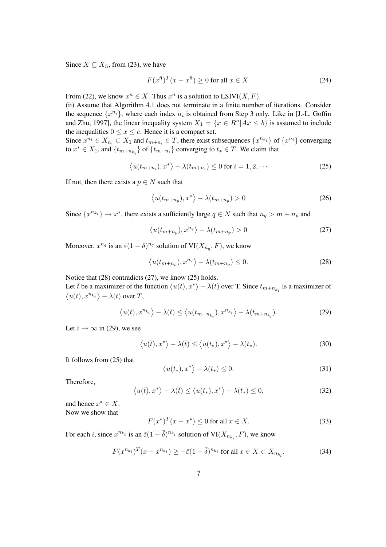Since  $X \subseteq X_{\bar{n}}$ , from (23), we have

$$
F(x^{\bar{n}})^{T}(x - x^{\bar{n}}) \ge 0 \text{ for all } x \in X.
$$
 (24)

From (22), we know  $x^{\bar{n}} \in X$ . Thus  $x^{\bar{n}}$  is a solution to LSIVI(X, F).

(ii) Assume that Algorithm 4.1 does not terminate in a finite number of iterations. Consider the sequence  $\{x^{n_i}\}$ , where each index  $n_i$  is obtained from Step 3 only. Like in [J.-L. Goffin and Zhu, 1997], the linear inequality system  $X_1 = \{x \in R^n | Ax \leq b\}$  is assumed to include the inequalities  $0 \le x \le e$ . Hence it is a compact set.

Since  $x^{n_i} \in X_{n_i} \subset X_1$  and  $t_{m+n_i} \in T$ , there exist subsequences  $\{x^{n_{k_i}}\}$  of  $\{x^{n_i}\}$  converging to  $x^* \in X_1$ , and  $\{t_{m+n_{k_i}}\}$  of  $\{t_{m+n_i}\}$  converging to  $t_* \in T$ . We claim that

$$
\langle u(t_{m+n_i}), x^* \rangle - \lambda(t_{m+n_i}) \le 0 \text{ for } i = 1, 2, \cdots
$$
 (25)

If not, then there exists a  $p \in N$  such that

$$
\langle u(t_{m+n_p}), x^* \rangle - \lambda(t_{m+n_p}) > 0 \tag{26}
$$

Since  $\{x^{n_{k_i}}\} \to x^*$ , there exists a sufficiently large  $q \in N$  such that  $n_q > m + n_p$  and

$$
\langle u(t_{m+n_p}), x^{n_q} \rangle - \lambda(t_{m+n_p}) > 0 \tag{27}
$$

Moreover,  $x^{n_q}$  is an  $\bar{\varepsilon}(1-\bar{\delta})^{n_q}$  solution of  $VI(X_{n_q}, F)$ , we know

$$
\langle u(t_{m+n_p}), x^{n_q} \rangle - \lambda(t_{m+n_p}) \le 0. \tag{28}
$$

Notice that (28) contradicts (27), we know (25) holds.

Let  $\bar{t}$  be a maximizer of the function  $\langle u(t), x^* \rangle - \lambda(t)$  over T. Since  $t_{m+n_{k_i}}$  is a maximizer of  $\langle u(t), x^{n_{k_i}} \rangle - \lambda(t)$  over T,

$$
\langle u(\bar{t}), x^{n_{k_i}} \rangle - \lambda(\bar{t}) \le \langle u(t_{m+n_{k_i}}), x^{n_{k_i}} \rangle - \lambda(t_{m+n_{k_i}}). \tag{29}
$$

Let  $i \to \infty$  in (29), we see

$$
\langle u(\bar{t}), x^* \rangle - \lambda(\bar{t}) \le \langle u(t_*) , x^* \rangle - \lambda(t_*) . \tag{30}
$$

It follows from (25) that

$$
\langle u(t_*) , x^* \rangle - \lambda(t_*) \le 0. \tag{31}
$$

Therefore,

$$
\langle u(\bar{t}), x^* \rangle - \lambda(\bar{t}) \le \langle u(t_*) , x^* \rangle - \lambda(t_*) \le 0,
$$
\n(32)

and hence  $x^* \in X$ . Now we show that

$$
F(x^*)^T(x - x^*) \le 0 \text{ for all } x \in X.
$$
 (33)

For each *i*, since  $x^{n_{k_i}}$  is an  $\bar{\varepsilon}(1-\bar{\delta})^{n_{k_i}}$  solution of  $VI(X_{n_{k_i}}, F)$ , we know

$$
F(x^{n_{k_i}})^T(x-x^{n_{k_i}}) \ge -\bar{\varepsilon}(1-\bar{\delta})^{n_{k_i}} \text{ for all } x \in X \subset X_{n_{k_i}}.\tag{34}
$$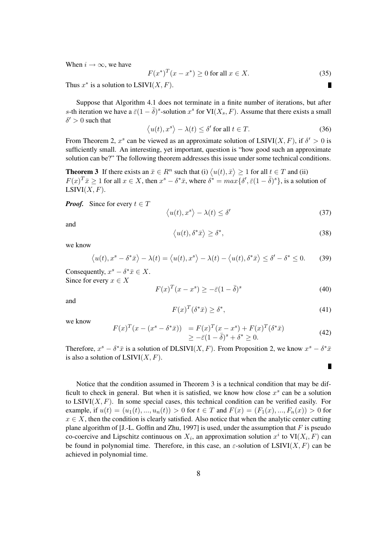When  $i \rightarrow \infty$ , we have

$$
F(x^*)^T(x - x^*) \ge 0 \text{ for all } x \in X. \tag{35}
$$

Thus  $x^*$  is a solution to  $LSIVI(X, F)$ .

Suppose that Algorithm 4.1 does not terminate in a finite number of iterations, but after s-th iteration we have a  $\bar{\varepsilon}(1-\bar{\delta})^s$ -solution  $x^s$  for VI( $X_s$ , F). Assume that there exists a small  $\delta' > 0$  such that

$$
\langle u(t), x^s \rangle - \lambda(t) \le \delta' \text{ for all } t \in T. \tag{36}
$$

From Theorem 2,  $x^s$  can be viewed as an approximate solution of LSIVI(X, F), if  $\delta' > 0$  is sufficiently small. An interesting, yet important, question is "how good such an approximate solution can be?" The following theorem addresses this issue under some technical conditions.

**Theorem 3** If there exists an  $\bar{x} \in R^n$  such that (i)  $\langle u(t), \bar{x} \rangle \ge 1$  for all  $t \in T$  and (ii)  $F(x)^T \bar{x} \ge 1$  for all  $x \in X$ , then  $x^s - \delta^* \bar{x}$ , where  $\delta^* = \max{\{\delta', \bar{\varepsilon}(1 - \bar{\delta})^s\}}$ , is a solution of  $LSIVI(X, F).$ 

*Proof.* Since for every  $t \in T$ 

$$
\langle u(t), x^s \rangle - \lambda(t) \le \delta'
$$
\n(37)

and

$$
\langle u(t), \delta^* \bar{x} \rangle \ge \delta^*,\tag{38}
$$

we know

$$
\langle u(t), x^s - \delta^* \bar{x} \rangle - \lambda(t) = \langle u(t), x^s \rangle - \lambda(t) - \langle u(t), \delta^* \bar{x} \rangle \le \delta' - \delta^* \le 0. \tag{39}
$$

Consequently,  $x^s - \delta^* \bar{x} \in X$ . Since for every  $x \in X$ 

$$
F(x)^{T}(x - x^{s}) \ge -\bar{\varepsilon}(1 - \bar{\delta})^{s}
$$
\n(40)

and

$$
F(x)^T(\delta^*\bar{x}) \ge \delta^*,\tag{41}
$$

we know

$$
F(x)^{T}(x - (x^{s} - \delta^{*} \bar{x})) = F(x)^{T}(x - x^{s}) + F(x)^{T}(\delta^{*} \bar{x})
$$
  
\n
$$
\geq -\bar{\varepsilon}(1 - \bar{\delta})^{s} + \delta^{*} \geq 0.
$$
\n(42)

Therefore,  $x^s - \delta^* \bar{x}$  is a solution of DLSIVI(X, F). From Proposition 2, we know  $x^s - \delta^* \bar{x}$ is also a solution of  $LSIVI(X, F)$ .

Notice that the condition assumed in Theorem 3 is a technical condition that may be difficult to check in general. But when it is satisfied, we know how close  $x^s$  can be a solution to  $LSIVI(X, F)$ . In some special cases, this technical condition can be verified easily. For example, if  $u(t) = (u_1(t), ..., u_n(t)) > 0$  for  $t \in T$  and  $F(x) = (F_1(x), ..., F_n(x)) > 0$  for  $x \in X$ , then the condition is clearly satisfied. Also notice that when the analytic center cutting plane algorithm of [J.-L. Goffin and Zhu, 1997] is used, under the assumption that  $F$  is pseudo co-coercive and Lipschitz continuous on  $X_i$ , an approximation solution  $x^i$  to  $VI(X_i, F)$  can be found in polynomial time. Therefore, in this case, an  $\varepsilon$ -solution of LSIVI(X, F) can be achieved in polynomial time.

Г

 $\blacksquare$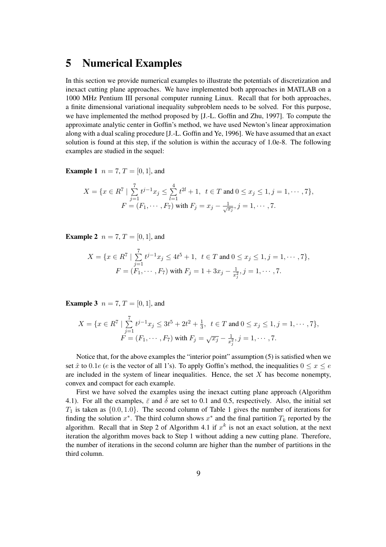#### **5 Numerical Examples**

In this section we provide numerical examples to illustrate the potentials of discretization and inexact cutting plane approaches. We have implemented both approaches in MATLAB on a 1000 MHz Pentium III personal computer running Linux. Recall that for both approaches, a finite dimensional variational inequality subproblem needs to be solved. For this purpose, we have implemented the method proposed by [J.-L. Goffin and Zhu, 1997]. To compute the approximate analytic center in Goffin's method, we have used Newton's linear approximation along with a dual scaling procedure [J.-L. Goffin and Ye, 1996]. We have assumed that an exact solution is found at this step, if the solution is within the accuracy of 1.0e-8. The following examples are studied in the sequel:

**Example 1**  $n = 7, T = [0, 1]$ , and

$$
X = \{x \in R^7 \mid \sum_{j=1}^7 t^{j-1} x_j \le \sum_{l=1}^4 t^{2l} + 1, \ t \in T \text{ and } 0 \le x_j \le 1, j = 1, \cdots, 7\},
$$
  

$$
F = (F_1, \cdots, F_7) \text{ with } F_j = x_j - \frac{1}{\sqrt{x_j}}, j = 1, \cdots, 7.
$$

**Example 2**  $n = 7, T = [0, 1]$ , and

$$
X = \{x \in R^7 \mid \sum_{j=1}^7 t^{j-1} x_j \le 4t^5 + 1, \ t \in T \text{ and } 0 \le x_j \le 1, j = 1, \cdots, 7\},\
$$
  

$$
F = (F_1, \cdots, F_7) \text{ with } F_j = 1 + 3x_j - \frac{1}{x_j^2}, j = 1, \cdots, 7.
$$

**Example 3**  $n = 7, T = [0, 1]$ , and

$$
X = \{x \in R^7 \mid \sum_{j=1}^7 t^{j-1} x_j \le 3t^5 + 2t^2 + \frac{1}{3}, \ t \in T \text{ and } 0 \le x_j \le 1, j = 1, \cdots, 7\},
$$
  

$$
F = (F_1, \cdots, F_7) \text{ with } F_j = \sqrt{x_j} - \frac{1}{x_j^2}, j = 1, \cdots, 7.
$$

Notice that, for the above examples the "interior point" assumption (5) is satisfied when we set  $\hat{x}$  to 0.1e (e is the vector of all 1's). To apply Goffin's method, the inequalities  $0 \le x \le e$ are included in the system of linear inequalities. Hence, the set  $X$  has become nonempty, convex and compact for each example.

First we have solved the examples using the inexact cutting plane approach (Algorithm 4.1). For all the examples,  $\bar{\varepsilon}$  and  $\bar{\delta}$  are set to 0.1 and 0.5, respectively. Also, the initial set  $T_1$  is taken as  $\{0.0, 1.0\}$ . The second column of Table 1 gives the number of iterations for finding the solution  $x^*$ . The third column shows  $x^*$  and the final partition  $T_k$  reported by the algorithm. Recall that in Step 2 of Algorithm 4.1 if  $x^k$  is not an exact solution, at the next iteration the algorithm moves back to Step 1 without adding a new cutting plane. Therefore, the number of iterations in the second column are higher than the number of partitions in the third column.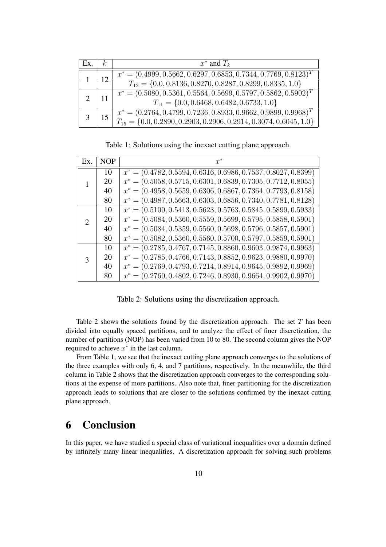| EX. | k. | $x^*$ and $T_k$                                                                                                                               |
|-----|----|-----------------------------------------------------------------------------------------------------------------------------------------------|
|     | 12 | $x^* = (0.4999, 0.5662, 0.6297, 0.6853, 0.7344, 0.7769, 0.8123)^T$<br>$T_{12} = \{0.0, 0.8136, 0.8270, 0.8287, 0.8299, 0.8335, 1.0\}$         |
|     |    | $x^* = (0.5080, 0.5361, 0.5564, 0.5699, 0.5797, 0.5862, 0.5902)^T$<br>$T_{11} = \{0.0, 0.6468, 0.6482, 0.6733, 1.0\}$                         |
|     |    | $x^* = (0.2764, 0.4799, 0.7236, 0.8933, 0.9662, 0.9899, 0.9968)^T$<br>$T_{15} = \{0.0, 0.2890, 0.2903, 0.2906, 0.2914, 0.3074, 0.6045, 1.0\}$ |

Table 1: Solutions using the inexact cutting plane approach.

| Ex.           | <b>NOP</b> |                                                                  |
|---------------|------------|------------------------------------------------------------------|
|               | 10         | $x^* = (0.4782, 0.5594, 0.6316, 0.6986, 0.7537, 0.8027, 0.8399)$ |
|               | 20         | $x^* = (0.5058, 0.5715, 0.6301, 0.6839, 0.7305, 0.7712, 0.8055)$ |
|               | 40         | $x^* = (0.4958, 0.5659, 0.6306, 0.6867, 0.7364, 0.7793, 0.8158)$ |
|               | 80         | $x^* = (0.4987, 0.5663, 0.6303, 0.6856, 0.7340, 0.7781, 0.8128)$ |
| $\mathcal{D}$ | 10         | $x^* = (0.5100, 0.5413, 0.5623, 0.5763, 0.5845, 0.5899, 0.5933)$ |
|               | 20         | $x^* = (0.5084, 0.5360, 0.5559, 0.5699, 0.5795, 0.5858, 0.5901)$ |
|               | 40         | $x^* = (0.5084, 0.5359, 0.5560, 0.5698, 0.5796, 0.5857, 0.5901)$ |
|               | 80         | $x^* = (0.5082, 0.5360, 0.5560, 0.5700, 0.5797, 0.5859, 0.5901)$ |
| $\mathcal{R}$ | 10         | $x^* = (0.2785, 0.4767, 0.7145, 0.8860, 0.9603, 0.9874, 0.9963)$ |
|               | 20         | $x^* = (0.2785, 0.4766, 0.7143, 0.8852, 0.9623, 0.9880, 0.9970)$ |
|               | 40         | $x^* = (0.2769, 0.4793, 0.7214, 0.8914, 0.9645, 0.9892, 0.9969)$ |
|               | 80         | $x^* = (0.2760, 0.4802, 0.7246, 0.8930, 0.9664, 0.9902, 0.9970)$ |

Table 2: Solutions using the discretization approach.

Table 2 shows the solutions found by the discretization approach. The set  $T$  has been divided into equally spaced partitions, and to analyze the effect of finer discretization, the number of partitions (NOP) has been varied from 10 to 80. The second column gives the NOP required to achieve  $x^*$  in the last column.

From Table 1, we see that the inexact cutting plane approach converges to the solutions of the three examples with only 6, 4, and 7 partitions, respectively. In the meanwhile, the third column in Table 2 shows that the discretization approach converges to the corresponding solutions at the expense of more partitions. Also note that, finer partitioning for the discretization approach leads to solutions that are closer to the solutions confirmed by the inexact cutting plane approach.

### **6 Conclusion**

In this paper, we have studied a special class of variational inequalities over a domain defined by infinitely many linear inequalities. A discretization approach for solving such problems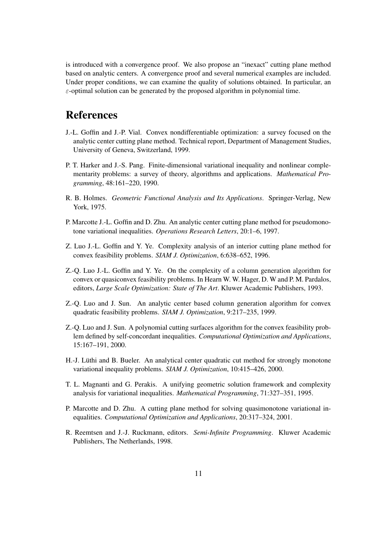is introduced with a convergence proof. We also propose an "inexact" cutting plane method based on analytic centers. A convergence proof and several numerical examples are included. Under proper conditions, we can examine the quality of solutions obtained. In particular, an  $\varepsilon$ -optimal solution can be generated by the proposed algorithm in polynomial time.

#### **References**

- J.-L. Goffin and J.-P. Vial. Convex nondifferentiable optimization: a survey focused on the analytic center cutting plane method. Technical report, Department of Management Studies, University of Geneva, Switzerland, 1999.
- P. T. Harker and J.-S. Pang. Finite-dimensional variational inequality and nonlinear complementarity problems: a survey of theory, algorithms and applications. *Mathematical Programming*, 48:161–220, 1990.
- R. B. Holmes. *Geometric Functional Analysis and Its Applications*. Springer-Verlag, New York, 1975.
- P. Marcotte J.-L. Goffin and D. Zhu. An analytic center cutting plane method for pseudomonotone variational inequalities. *Operations Research Letters*, 20:1–6, 1997.
- Z. Luo J.-L. Goffin and Y. Ye. Complexity analysis of an interior cutting plane method for convex feasibility problems. *SIAM J. Optimization*, 6:638–652, 1996.
- Z.-Q. Luo J.-L. Goffin and Y. Ye. On the complexity of a column generation algorithm for convex or quasiconvex feasibility problems. In Hearn W. W. Hager, D. W and P. M. Pardalos, editors, *Large Scale Optimization: State of The Art*. Kluwer Academic Publishers, 1993.
- Z.-Q. Luo and J. Sun. An analytic center based column generation algorithm for convex quadratic feasibility problems. *SIAM J. Optimization*, 9:217–235, 1999.
- Z.-Q. Luo and J. Sun. A polynomial cutting surfaces algorithm for the convex feasibility problem defined by self-concordant inequalities. *Computational Optimization and Applications*, 15:167–191, 2000.
- H.-J. Lüthi and B. Bueler. An analytical center quadratic cut method for strongly monotone variational inequality problems. *SIAM J. Optimization*, 10:415–426, 2000.
- T. L. Magnanti and G. Perakis. A unifying geometric solution framework and complexity analysis for variational inequalities. *Mathematical Programming*, 71:327–351, 1995.
- P. Marcotte and D. Zhu. A cutting plane method for solving quasimonotone variational inequalities. *Computational Optimization and Applications*, 20:317–324, 2001.
- R. Reemtsen and J.-J. Ruckmann, editors. *Semi-Infinite Programming*. Kluwer Academic Publishers, The Netherlands, 1998.